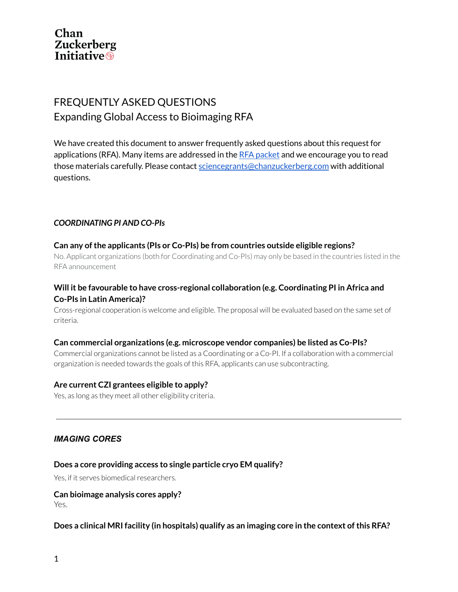

# FREQUENTLY ASKED QUESTIONS Expanding Global Access to Bioimaging RFA

We have created this document to answer frequently asked questions about this request for applications (RFA). Many items are addressed in the RFA [packet](https://chanzuckerberg.com/wp-content/uploads/2021/05/Global-Access-to-Bioimaging-RFA-packet-1.pdf) and we encourage you to read those materials carefully. Please contact [sciencegrants@chanzuckerberg.com](mailto:sciencegrants@chanzuckerberg.com) with additional questions.

### *COORDINATING PI AND CO-PIs*

#### **Can any ofthe applicants (PIs or Co-PIs) be from countries outside eligible regions?**

No. Applicant organizations (both for Coordinating and Co-PIs) may only be based in the countries listed in the RFA announcement

# **Will it be favourable to have cross-regional collaboration (e.g. Coordinating PI in Africa and Co-PIs in Latin America)?**

Cross-regional cooperation is welcome and eligible. The proposal will be evaluated based on the same set of criteria.

#### **Can commercial organizations (e.g. microscope vendor companies) be listed as Co-PIs?**

Commercial organizations cannot be listed as a Coordinating or a Co-PI. If a collaboration with a commercial organization is needed towards the goals of this RFA, applicants can use subcontracting.

#### **Are current CZI grantees eligible to apply?**

Yes, as long as they meet all other eligibility criteria.

#### *IMAGING CORES*

#### **Does a core providing access to single particle cryo EM qualify?**

Yes, if it serves biomedical researchers.

#### **Can bioimage analysis cores apply?**

Yes.

#### **Does a clinical MRI facility (in hospitals) qualify as an imaging core in the context ofthis RFA?**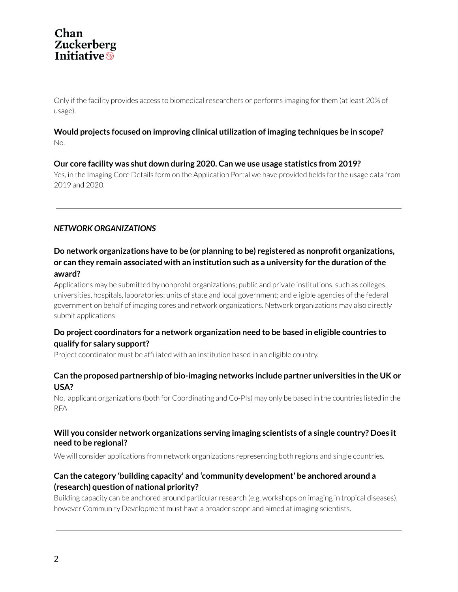# **Chan** Zuckerberg<br>Initiative<sup>®</sup>

Only if the facility provides access to biomedical researchers or performs imaging for them (at least 20% of usage).

# **Would projects focused on improving clinical utilization of imaging techniques be in scope?** No.

### **Our core facility was shut down during 2020. Can we use usage statistics from 2019?**

Yes, in the Imaging Core Details form on the Application Portal we have provided fields forthe usage data from 2019 and 2020.

# *NETWORK ORGANIZATIONS*

# **Do network organizations have to be (or planning to be) registered as nonprofit organizations, or can they remain associated with an institution such as a university for the duration ofthe award?**

Applications may be submitted by nonprofit organizations; public and private institutions, such as colleges, universities, hospitals, laboratories; units of state and local government; and eligible agencies of the federal government on behalf of imaging cores and network organizations. Network organizations may also directly submit applications

# **Do project coordinators for a network organization need to be based in eligible countries to qualify for salary support?**

Project coordinator must be affiliated with an institution based in an eligible country.

### **Can the proposed partnership of bio-imaging networks include partner universities in the UK or USA?**

No, applicant organizations (both for Coordinating and Co-PIs) may only be based in the countries listed in the RFA

#### **Will you consider network organizations serving imaging scientists of a single country? Does it need to be regional?**

We will consider applications from network organizations representing both regions and single countries.

# **Can the category 'building capacity' and 'community development' be anchored around a (research) question of national priority?**

Building capacity can be anchored around particular research (e.g. workshops on imaging in tropical diseases), however Community Development must have a broader scope and aimed at imaging scientists.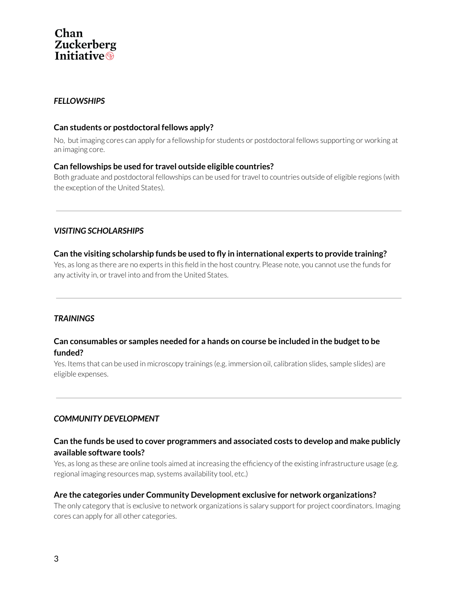# Chan **Zuckerberg**<br>Initiative<sup>®</sup>

# *FELLOWSHIPS*

#### **Can students or postdoctoral fellows apply?**

No, but imaging cores can apply for a fellowship for students or postdoctoral fellows supporting or working at an imaging core.

### **Can fellowships be used for travel outside eligible countries?**

Both graduate and postdoctoral fellowships can be used for travel to countries outside of eligible regions (with the exception of the United States).

# *VISITING SCHOLARSHIPS*

# **Can the visiting scholarship funds be used to fly in international experts to provide training?**

Yes, as long as there are no experts in this field in the host country. Please note, you cannot use the funds for any activity in, or travel into and from the United States.

# *TRAININGS*

### **Can consumables or samples needed for a hands on course be included in the budgetto be funded?**

Yes. Items that can be used in microscopy trainings (e.g. immersion oil, calibration slides, sample slides) are eligible expenses.

# *COMMUNITY DEVELOPMENT*

### **Can the funds be used to cover programmers and associated costs to develop and make publicly available software tools?**

Yes, as long as these are online tools aimed at increasing the efficiency of the existing infrastructure usage (e.g. regional imaging resources map, systems availability tool, etc.)

#### **Are the categories under Community Development exclusive for network organizations?**

The only category that is exclusive to network organizations is salary support for project coordinators. Imaging cores can apply for all other categories.